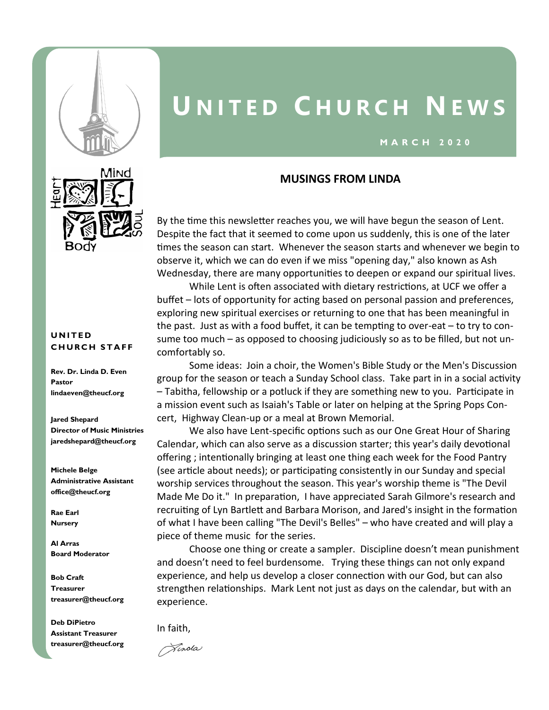

# **U N I T E D C H U R C H N E W S**

#### **M A R C H 2 0 2 0**

### **MUSINGS FROM LINDA**

By the time this newsletter reaches you, we will have begun the season of Lent. Despite the fact that it seemed to come upon us suddenly, this is one of the later times the season can start. Whenever the season starts and whenever we begin to observe it, which we can do even if we miss "opening day," also known as Ash Wednesday, there are many opportunities to deepen or expand our spiritual lives.

While Lent is often associated with dietary restrictions, at UCF we offer a buffet – lots of opportunity for acting based on personal passion and preferences, exploring new spiritual exercises or returning to one that has been meaningful in the past. Just as with a food buffet, it can be tempting to over-eat – to try to consume too much – as opposed to choosing judiciously so as to be filled, but not uncomfortably so.

Some ideas: Join a choir, the Women's Bible Study or the Men's Discussion group for the season or teach a Sunday School class. Take part in in a social activity – Tabitha, fellowship or a potluck if they are something new to you. Participate in a mission event such as Isaiah's Table or later on helping at the Spring Pops Concert, Highway Clean-up or a meal at Brown Memorial.

We also have Lent-specific options such as our One Great Hour of Sharing Calendar, which can also serve as a discussion starter; this year's daily devotional offering ; intentionally bringing at least one thing each week for the Food Pantry (see article about needs); or participating consistently in our Sunday and special worship services throughout the season. This year's worship theme is "The Devil Made Me Do it." In preparation, I have appreciated Sarah Gilmore's research and recruiting of Lyn Bartlett and Barbara Morison, and Jared's insight in the formation of what I have been calling "The Devil's Belles" – who have created and will play a piece of theme music for the series.

Choose one thing or create a sampler. Discipline doesn't mean punishment and doesn't need to feel burdensome. Trying these things can not only expand experience, and help us develop a closer connection with our God, but can also strengthen relationships. Mark Lent not just as days on the calendar, but with an experience.

In faith,

Pinota



#### **U N I T E D CHURCH STAFF**

**Rev. Dr. Linda D. Even Pastor lindaeven@theucf.org**

**Jared Shepard Director of Music Ministries jaredshepard@theucf.org**

**Michele Belge Administrative Assistant office@theucf.org**

**Rae Earl Nursery** 

**Al Arras Board Moderator**

**Bob Craft Treasurer treasurer@theucf.org**

**Deb DiPietro Assistant Treasurer treasurer@theucf.org**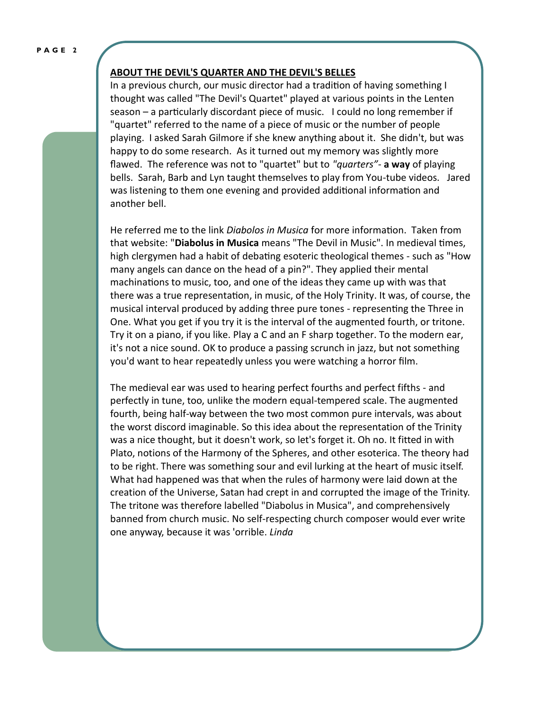#### **P A G E 2**

#### **ABOUT THE DEVIL'S QUARTER AND THE DEVIL'S BELLES**

In a previous church, our music director had a tradition of having something I thought was called "The Devil's Quartet" played at various points in the Lenten season – a particularly discordant piece of music. I could no long remember if "quartet" referred to the name of a piece of music or the number of people playing. I asked Sarah Gilmore if she knew anything about it. She didn't, but was happy to do some research. As it turned out my memory was slightly more flawed. The reference was not to "quartet" but to *"quarters"-* **a way** of playing bells. Sarah, Barb and Lyn taught themselves to play from You-tube videos. Jared was listening to them one evening and provided additional information and another bell.

He referred me to the link *Diabolos in Musica* for more information. Taken from that website: "**Diabolus in Musica** means "The Devil in Music". In medieval times, high clergymen had a habit of debating esoteric theological themes - such as "How many angels can dance on the head of a pin?". They applied their mental machinations to music, too, and one of the ideas they came up with was that there was a true representation, in music, of the Holy Trinity. It was, of course, the musical interval produced by adding three pure tones - representing the Three in One. What you get if you try it is the interval of the augmented fourth, or tritone. Try it on a piano, if you like. Play a C and an F sharp together. To the modern ear, it's not a nice sound. OK to produce a passing scrunch in jazz, but not something you'd want to hear repeatedly unless you were watching a horror film.

The medieval ear was used to hearing perfect fourths and perfect fifths - and perfectly in tune, too, unlike the modern equal-tempered scale. The augmented fourth, being half-way between the two most common pure intervals, was about the worst discord imaginable. So this idea about the representation of the Trinity was a nice thought, but it doesn't work, so let's forget it. Oh no. It fitted in with Plato, notions of the Harmony of the Spheres, and other esoterica. The theory had to be right. There was something sour and evil lurking at the heart of music itself. What had happened was that when the rules of harmony were laid down at the creation of the Universe, Satan had crept in and corrupted the image of the Trinity. The tritone was therefore labelled "Diabolus in Musica", and comprehensively banned from church music. No self-respecting church composer would ever write one anyway, because it was 'orrible. *Linda*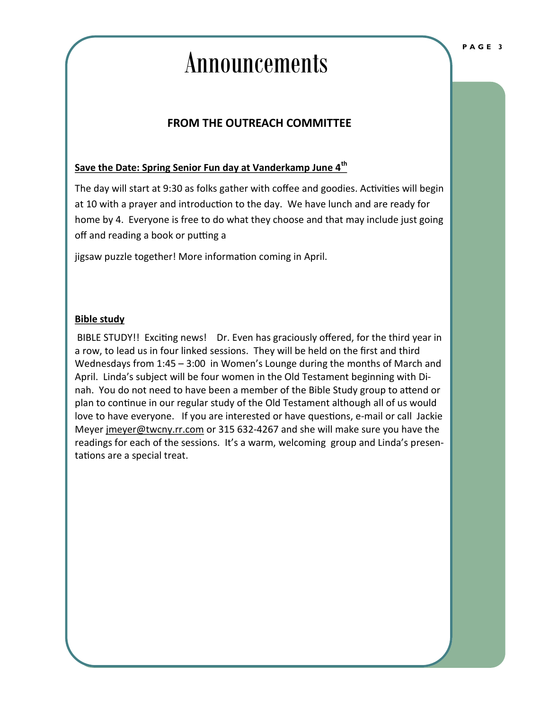# Announcements

## **FROM THE OUTREACH COMMITTEE**

### **Save the Date: Spring Senior Fun day at Vanderkamp June 4th**

The day will start at 9:30 as folks gather with coffee and goodies. Activities will begin at 10 with a prayer and introduction to the day. We have lunch and are ready for home by 4. Everyone is free to do what they choose and that may include just going off and reading a book or putting a

jigsaw puzzle together! More information coming in April.

#### **Bible study**

BIBLE STUDY!! Exciting news! Dr. Even has graciously offered, for the third year in a row, to lead us in four linked sessions. They will be held on the first and third Wednesdays from 1:45 – 3:00 in Women's Lounge during the months of March and April. Linda's subject will be four women in the Old Testament beginning with Dinah. You do not need to have been a member of the Bible Study group to attend or plan to continue in our regular study of the Old Testament although all of us would love to have everyone. If you are interested or have questions, e-mail or call Jackie Meyer [jmeyer@twcny.rr.com](mailto:jmeyer@twcny.rr.com) or 315 632-4267 and she will make sure you have the readings for each of the sessions. It's a warm, welcoming group and Linda's presentations are a special treat.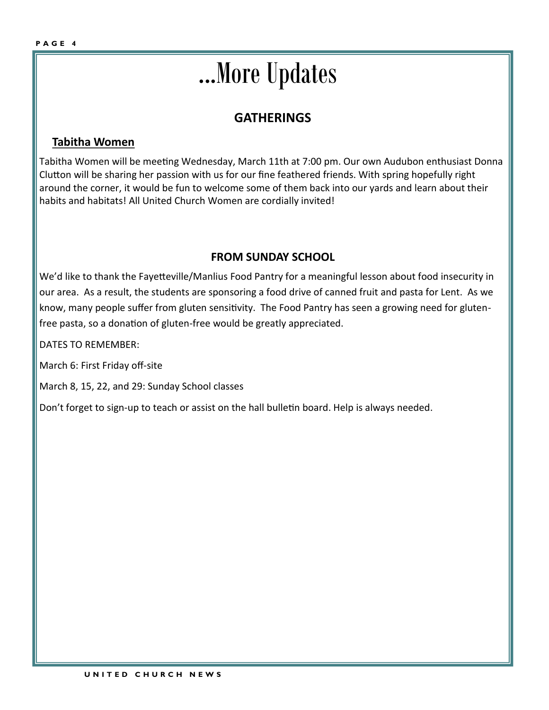# ...More Updates

# **GATHERINGS**

### **Tabitha Women**

Tabitha Women will be meeting Wednesday, March 11th at 7:00 pm. Our own Audubon enthusiast Donna Clutton will be sharing her passion with us for our fine feathered friends. With spring hopefully right around the corner, it would be fun to welcome some of them back into our yards and learn about their habits and habitats! All United Church Women are cordially invited!

### **FROM SUNDAY SCHOOL**

We'd like to thank the Fayetteville/Manlius Food Pantry for a meaningful lesson about food insecurity in our area. As a result, the students are sponsoring a food drive of canned fruit and pasta for Lent. As we know, many people suffer from gluten sensitivity. The Food Pantry has seen a growing need for glutenfree pasta, so a donation of gluten-free would be greatly appreciated.

DATES TO REMEMBER:

March 6: First Friday off-site

March 8, 15, 22, and 29: Sunday School classes

Don't forget to sign-up to teach or assist on the hall bulletin board. Help is always needed.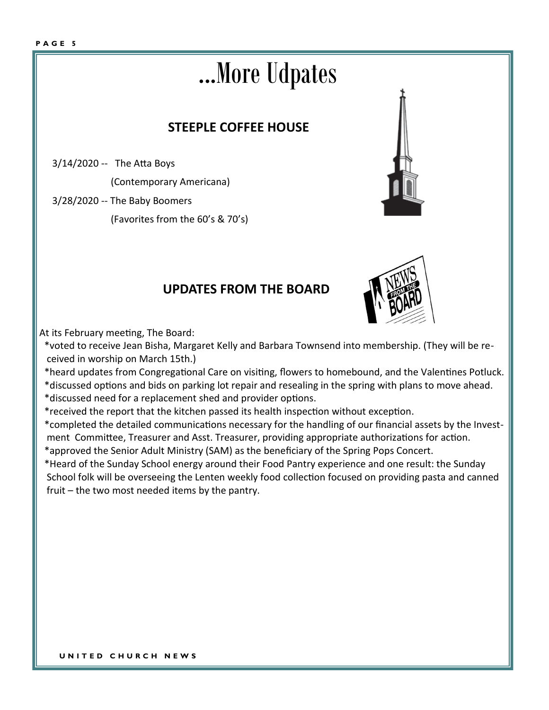# ...More Udpates

# **STEEPLE COFFEE HOUSE**

3/14/2020 -- The Atta Boys

(Contemporary Americana)

3/28/2020 -- The Baby Boomers

(Favorites from the 60's & 70's)

# **UPDATES FROM THE BOARD**



At its February meeting, The Board:

 \*voted to receive Jean Bisha, Margaret Kelly and Barbara Townsend into membership. (They will be re ceived in worship on March 15th.)

\*heard updates from Congregational Care on visiting, flowers to homebound, and the Valentines Potluck.

 \*discussed options and bids on parking lot repair and resealing in the spring with plans to move ahead. \*discussed need for a replacement shed and provider options.

\*received the report that the kitchen passed its health inspection without exception.

 \*completed the detailed communications necessary for the handling of our financial assets by the Invest ment Committee, Treasurer and Asst. Treasurer, providing appropriate authorizations for action.

\*approved the Senior Adult Ministry (SAM) as the beneficiary of the Spring Pops Concert.

 \*Heard of the Sunday School energy around their Food Pantry experience and one result: the Sunday School folk will be overseeing the Lenten weekly food collection focused on providing pasta and canned fruit – the two most needed items by the pantry.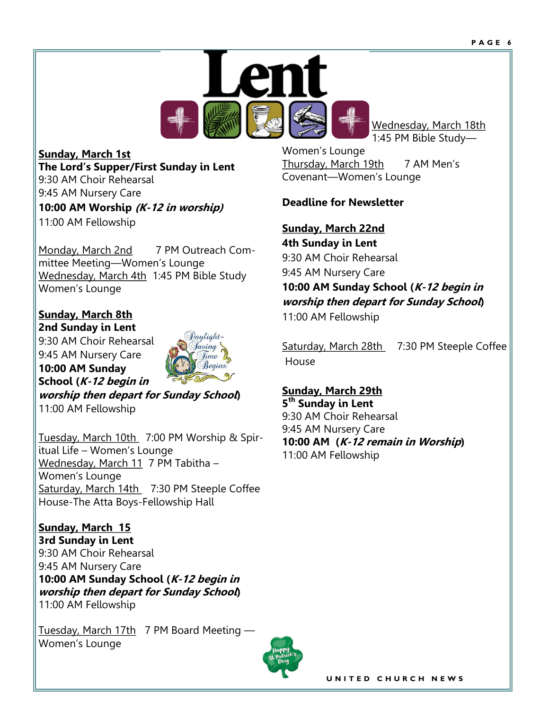

**Sunday, March 1st The Lord's Supper/First Sunday in Lent** 9:30 AM Choir Rehearsal 9:45 AM Nursery Care **10:00 AM Worship (K-12 in worship)** 11:00 AM Fellowship

Monday, March 2nd 7 PM Outreach Committee Meeting—Women's Lounge Wednesday, March 4th 1:45 PM Bible Study Women's Lounge

**Sunday, March 8th 2nd Sunday in Lent**

9:30 AM Choir Rehearsal 9:45 AM Nursery Care **10:00 AM Sunday** 



**School (K-12 begin in worship then depart for Sunday School)** 11:00 AM Fellowship

Tuesday, March 10th 7:00 PM Worship & Spiritual Life – Women's Lounge Wednesday, March 11 7 PM Tabitha – Women's Lounge Saturday, March 14th 7:30 PM Steeple Coffee House-The Atta Boys-Fellowship Hall

**Sunday, March 15 3rd Sunday in Lent** 9:30 AM Choir Rehearsal 9:45 AM Nursery Care **10:00 AM Sunday School (K-12 begin in worship then depart for Sunday School)** 11:00 AM Fellowship

Tuesday, March 17th 7 PM Board Meeting -Women's Lounge



Wednesday, March 18th 1:45 PM Bible Study—

Women's Lounge Thursday, March 19th 7 AM Men's Covenant—Women's Lounge

### **Deadline for Newsletter**

**Sunday, March 22nd 4th Sunday in Lent** 9:30 AM Choir Rehearsal 9:45 AM Nursery Care **10:00 AM Sunday School (K-12 begin in worship then depart for Sunday School)** 11:00 AM Fellowship

Saturday, March 28th 7:30 PM Steeple Coffee House

**Sunday, March 29th 5 th Sunday in Lent** 9:30 AM Choir Rehearsal 9:45 AM Nursery Care **10:00 AM (K-12 remain in Worship)** 11:00 AM Fellowship